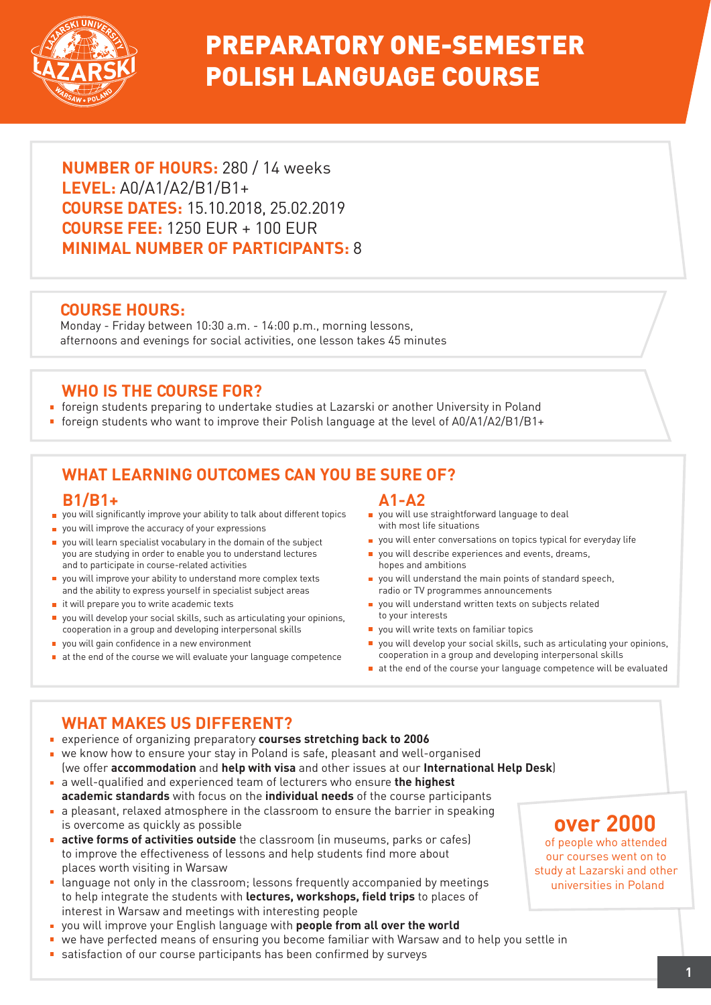

## PREPARATORY ONE-SEMESTER POLISH LANGUAGE COURSE

**NUMBER OF HOURS:** 280 / 14 weeks **LEVEL:** A0/A1/A2/B1/B1+ **COURSE DATES:** 15.10.2018, 25.02.2019 **COURSE FEE:** 1250 EUR + 100 EUR **MINIMAL NUMBER OF PARTICIPANTS:** 8

### **COURSE HOURS:**

Monday - Friday between 10:30 a.m. - 14:00 p.m., morning lessons, afternoons and evenings for social activities, one lesson takes 45 minutes

### **WHO IS THE COURSE FOR?**

- foreign students preparing to undertake studies at Lazarski or another University in Poland
- foreign students who want to improve their Polish language at the level of A0/A1/A2/B1/B1+

## **WHAT LEARNING OUTCOMES CAN YOU BE SURE OF?**

#### **B1/B1+**

- you will significantly improve your ability to talk about different topics
- vou will improve the accuracy of your expressions
- vou will learn specialist vocabulary in the domain of the subject you are studying in order to enable you to understand lectures and to participate in course-related activities
- vou will improve your ability to understand more complex texts and the ability to express yourself in specialist subject areas
- $\blacksquare$  it will prepare you to write academic texts
- you will develop your social skills, such as articulating your opinions,  $\blacksquare$ cooperation in a group and developing interpersonal skills
- vou will gain confidence in a new environment
- $\blacksquare$  at the end of the course we will evaluate your language competence

#### **A1-A2**

- **p** you will use straightforward language to deal with most life situations
- **p** you will enter conversations on topics typical for everyday life
- vou will describe experiences and events, dreams, hopes and ambitions
- you will understand the main points of standard speech, radio or TV programmes announcements
- vou will understand written texts on subjects related to your interests
- vou will write texts on familiar topics
- you will develop your social skills, such as articulating your opinions, cooperation in a group and developing interpersonal skills
- at the end of the course your language competence will be evaluated

### **WHAT MAKES US DIFFERENT?**

- experience of organizing preparatory **courses stretching back to 2006**
- we know how to ensure your stay in Poland is safe, pleasant and well-organised (we offer **accommodation** and **help with visa** and other issues at our **International Help Desk**)
- a well-qualified and experienced team of lecturers who ensure **the highest academic standards** with focus on the **individual needs** of the course participants
- a pleasant, relaxed atmosphere in the classroom to ensure the barrier in speaking is overcome as quickly as possible
- **active forms of activities outside** the classroom (in museums, parks or cafes) to improve the effectiveness of lessons and help students find more about places worth visiting in Warsaw
- **E** language not only in the classroom; lessons frequently accompanied by meetings to help integrate the students with **lectures, workshops, field trips** to places of interest in Warsaw and meetings with interesting people
- you will improve your English language with **people from all over the world**
- we have perfected means of ensuring you become familiar with Warsaw and to help you settle in
- satisfaction of our course participants has been confirmed by surveys

## **over 2000**

of people who attended our courses went on to study at Lazarski and other universities in Poland